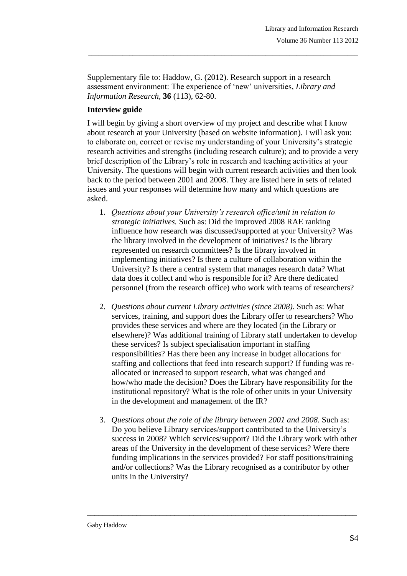Supplementary file to: Haddow, G. (2012). Research support in a research assessment environment: The experience of 'new' universities, *Library and Information Research*, **36** (113), 62-80.

\_\_\_\_\_\_\_\_\_\_\_\_\_\_\_\_\_\_\_\_\_\_\_\_\_\_\_\_\_\_\_\_\_\_\_\_\_\_\_\_\_\_\_\_\_\_\_\_\_\_\_\_\_\_\_\_\_\_\_\_\_\_\_\_\_\_\_\_\_\_\_\_\_\_\_\_\_\_\_

## **Interview guide**

I will begin by giving a short overview of my project and describe what I know about research at your University (based on website information). I will ask you: to elaborate on, correct or revise my understanding of your University's strategic research activities and strengths (including research culture); and to provide a very brief description of the Library's role in research and teaching activities at your University. The questions will begin with current research activities and then look back to the period between 2001 and 2008. They are listed here in sets of related issues and your responses will determine how many and which questions are asked.

- 1. *Questions about your University's research office/unit in relation to strategic initiatives.* Such as: Did the improved 2008 RAE ranking influence how research was discussed/supported at your University? Was the library involved in the development of initiatives? Is the library represented on research committees? Is the library involved in implementing initiatives? Is there a culture of collaboration within the University? Is there a central system that manages research data? What data does it collect and who is responsible for it? Are there dedicated personnel (from the research office) who work with teams of researchers?
- 2. *Questions about current Library activities (since 2008).* Such as: What services, training, and support does the Library offer to researchers? Who provides these services and where are they located (in the Library or elsewhere)? Was additional training of Library staff undertaken to develop these services? Is subject specialisation important in staffing responsibilities? Has there been any increase in budget allocations for staffing and collections that feed into research support? If funding was reallocated or increased to support research, what was changed and how/who made the decision? Does the Library have responsibility for the institutional repository? What is the role of other units in your University in the development and management of the IR?
- 3. *Questions about the role of the library between 2001 and 2008.* Such as: Do you believe Library services/support contributed to the University's success in 2008? Which services/support? Did the Library work with other areas of the University in the development of these services? Were there funding implications in the services provided? For staff positions/training and/or collections? Was the Library recognised as a contributor by other units in the University?

\_\_\_\_\_\_\_\_\_\_\_\_\_\_\_\_\_\_\_\_\_\_\_\_\_\_\_\_\_\_\_\_\_\_\_\_\_\_\_\_\_\_\_\_\_\_\_\_\_\_\_\_\_\_\_\_\_\_\_\_\_\_\_\_\_\_\_\_\_\_\_